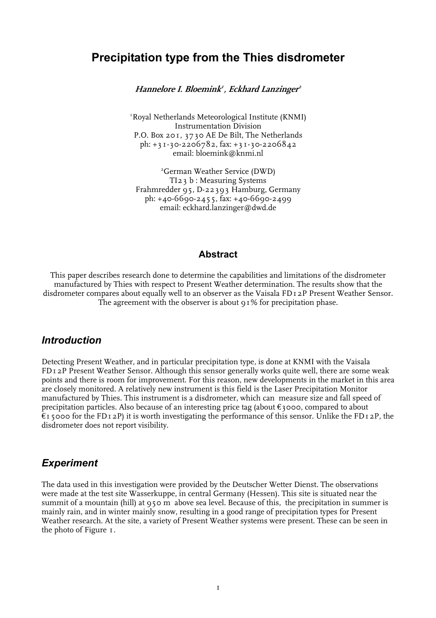# **Precipitation type from the Thies disdrometer**

**Hannelore I. Bloemink<sup>1</sup> , Eckhard Lanzinger<sup>2</sup>**

1 Royal Netherlands Meteorological Institute (KNMI) Instrumentation Division P.O. Box 201, 3730 AE De Bilt, The Netherlands ph:  $+31-30-2206782$ , fax:  $+31-30-2206842$ email: bloemink@knmi.nl

2 German Weather Service (DWD) TI23 b : Measuring Systems Frahmredder 95, D-22393 Hamburg, Germany ph: +40-6690-2455, fax: +40-6690-2499 email: eckhard.lanzinger@dwd.de

#### **Abstract**

This paper describes research done to determine the capabilities and limitations of the disdrometer manufactured by Thies with respect to Present Weather determination. The results show that the disdrometer compares about equally well to an observer as the Vaisala FD12P Present Weather Sensor. The agreement with the observer is about 91% for precipitation phase.

#### *Introduction*

Detecting Present Weather, and in particular precipitation type, is done at KNMI with the Vaisala FD12P Present Weather Sensor. Although this sensor generally works quite well, there are some weak points and there is room for improvement. For this reason, new developments in the market in this area are closely monitored. A relatively new instrument is this field is the Laser Precipitation Monitor manufactured by Thies. This instrument is a disdrometer, which can measure size and fall speed of precipitation particles. Also because of an interesting price tag (about  $\epsilon_3$ 000, compared to about  $f_1$  5000 for the FD<sub>12</sub>P) it is worth investigating the performance of this sensor. Unlike the FD<sub>12</sub>P, the disdrometer does not report visibility.

#### *Experiment*

The data used in this investigation were provided by the Deutscher Wetter Dienst. The observations were made at the test site Wasserkuppe, in central Germany (Hessen). This site is situated near the summit of a mountain (hill) at 950 m above sea level. Because of this, the precipitation in summer is mainly rain, and in winter mainly snow, resulting in a good range of precipitation types for Present Weather research. At the site, a variety of Present Weather systems were present. These can be seen in the photo of Figure 1.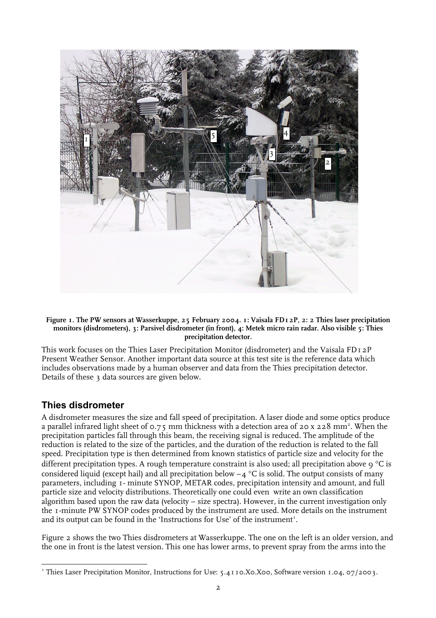

#### **Figure 1. The PW sensors at Wasserkuppe, 25 February 2004. 1: Vaisala FD12P, 2: 2 Thies laser precipitation monitors (disdrometers), 3: Parsivel disdrometer (in front), 4: Metek micro rain radar. Also visible 5: Thies precipitation detector.**

This work focuses on the Thies Laser Precipitation Monitor (disdrometer) and the Vaisala FD12P Present Weather Sensor. Another important data source at this test site is the reference data which includes observations made by a human observer and data from the Thies precipitation detector. Details of these 3 data sources are given below.

#### **Thies disdrometer**

A disdrometer measures the size and fall speed of precipitation. A laser diode and some optics produce a parallel infrared light sheet of 0.75 mm thickness with a detection area of 20 x 228 mm². When the precipitation particles fall through this beam, the receiving signal is reduced. The amplitude of the reduction is related to the size of the particles, and the duration of the reduction is related to the fall speed. Precipitation type is then determined from known statistics of particle size and velocity for the different precipitation types. A rough temperature constraint is also used; all precipitation above 9 °C is considered liquid (except hail) and all precipitation below  $-4$  °C is solid. The output consists of many parameters, including 1- minute SYNOP, METAR codes, precipitation intensity and amount, and full particle size and velocity distributions. Theoretically one could even write an own classification algorithm based upon the raw data (velocity – size spectra). However, in the current investigation only the 1-minute PW SYNOP codes produced by the instrument are used. More details on the instrument and its output can be found in the 'Instructions for Use' of the instrument<sup>1</sup>.

Figure 2 shows the two Thies disdrometers at Wasserkuppe. The one on the left is an older version, and the one in front is the latest version. This one has lower arms, to prevent spray from the arms into the

 $\overline{a}$ <sup>1</sup> Thies Laser Precipitation Monitor, Instructions for Use: 5.4110.X0.X00, Software version 1.04, 07/2003.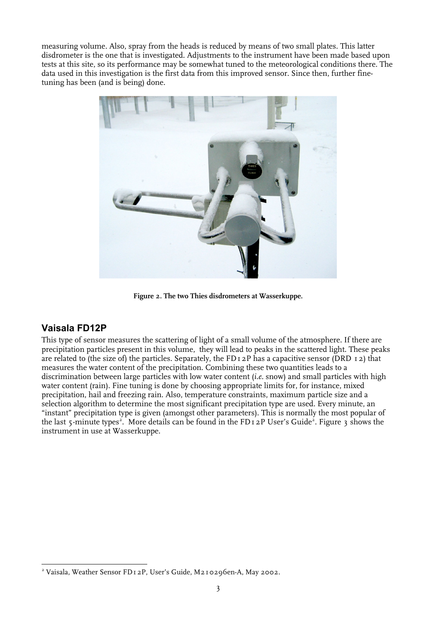measuring volume. Also, spray from the heads is reduced by means of two small plates. This latter disdrometer is the one that is investigated. Adjustments to the instrument have been made based upon tests at this site, so its performance may be somewhat tuned to the meteorological conditions there. The data used in this investigation is the first data from this improved sensor. Since then, further finetuning has been (and is being) done.



**Figure 2. The two Thies disdrometers at Wasserkuppe.** 

#### **Vaisala FD12P**

 $\overline{a}$ 

This type of sensor measures the scattering of light of a small volume of the atmosphere. If there are precipitation particles present in this volume, they will lead to peaks in the scattered light. These peaks are related to (the size of) the particles. Separately, the FD<sub>12</sub>P has a capacitive sensor (DRD<sub>12</sub>) that measures the water content of the precipitation. Combining these two quantities leads to a discrimination between large particles with low water content (*i.e.* snow) and small particles with high water content (rain). Fine tuning is done by choosing appropriate limits for, for instance, mixed precipitation, hail and freezing rain. Also, temperature constraints, maximum particle size and a selection algorithm to determine the most significant precipitation type are used. Every minute, an "instant" precipitation type is given (amongst other parameters). This is normally the most popular of the last 5-minute types<sup>2</sup>. More details can be found in the FD12P User's Guide<sup>2</sup>. Figure 3 shows the instrument in use at Wasserkuppe.

<sup>2</sup> Vaisala, Weather Sensor FD12P, User's Guide, M210296en-A, May 2002.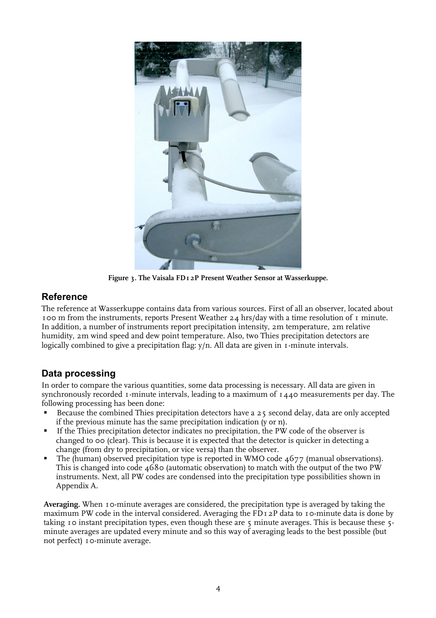

**Figure 3. The Vaisala FD12P Present Weather Sensor at Wasserkuppe.** 

## **Reference**

The reference at Wasserkuppe contains data from various sources. First of all an observer, located about 100 m from the instruments, reports Present Weather 24 hrs/day with a time resolution of 1 minute. In addition, a number of instruments report precipitation intensity, 2m temperature, 2m relative humidity, 2m wind speed and dew point temperature. Also, two Thies precipitation detectors are logically combined to give a precipitation flag: y/n. All data are given in 1-minute intervals.

## **Data processing**

In order to compare the various quantities, some data processing is necessary. All data are given in synchronously recorded 1-minute intervals, leading to a maximum of  $1440$  measurements per day. The following processing has been done:

- Because the combined Thies precipitation detectors have a 25 second delay, data are only accepted if the previous minute has the same precipitation indication (y or n).
- If the Thies precipitation detector indicates no precipitation, the PW code of the observer is changed to 00 (clear). This is because it is expected that the detector is quicker in detecting a change (from dry to precipitation, or vice versa) than the observer.
- The (human) observed precipitation type is reported in WMO code  $4677$  (manual observations). This is changed into code  $\mu$ 680 (automatic observation) to match with the output of the two PW instruments. Next, all PW codes are condensed into the precipitation type possibilities shown in Appendix A.

**Averaging.** When 10-minute averages are considered, the precipitation type is averaged by taking the maximum PW code in the interval considered. Averaging the FD12P data to 10-minute data is done by taking 10 instant precipitation types, even though these are  $\zeta$  minute averages. This is because these  $\zeta$ minute averages are updated every minute and so this way of averaging leads to the best possible (but not perfect) 10-minute average.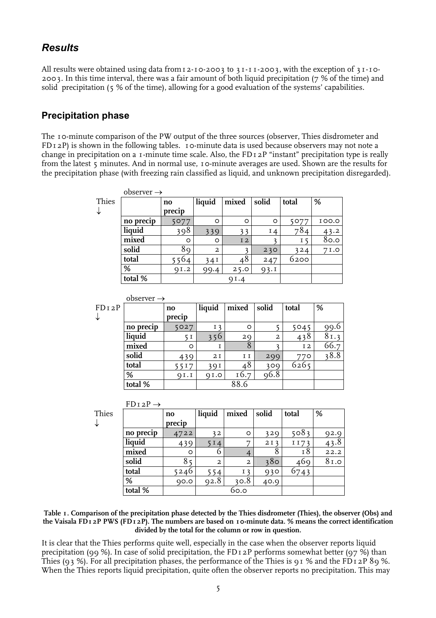## *Results*

All results were obtained using data from 12-10-2003 to 31-11-2003, with the exception of 31-10-2003. In this time interval, there was a fair amount of both liquid precipitation (7 % of the time) and solid precipitation (5 % of the time), allowing for a good evaluation of the systems' capabilities.

### **Precipitation phase**

The 10-minute comparison of the PW output of the three sources (observer, Thies disdrometer and  $FDI_2P$ ) is shown in the following tables. 10-minute data is used because observers may not note a change in precipitation on a 1-minute time scale. Also, the FD12P "instant" precipitation type is really from the latest 5 minutes. And in normal use, 10-minute averages are used. Shown are the results for the precipitation phase (with freezing rain classified as liquid, and unknown precipitation disregarded).

|       | $\text{observer} \rightarrow$ |        |                |                |          |       |       |
|-------|-------------------------------|--------|----------------|----------------|----------|-------|-------|
| Thies |                               | no     | liquid         | mixed          | solid    | total | %     |
| ↓     |                               | precip |                |                |          |       |       |
|       | no precip                     | 5077   | $\circ$        | $\circ$        | $\circ$  | 5077  | 100.0 |
|       | liquid                        | 308    | 339            |                | $I_4$    | 784   | 43.2  |
|       | mixed                         | O      | $\circ$        | I <sub>2</sub> | <u>ำ</u> | Ι5    | 80.0  |
|       | solid                         | 89     | $\overline{a}$ |                | 230      | 324   | 71.0  |
|       | total                         | 564    | 34I            | 48             | 247      | 6200  |       |
|       | %                             | QI.2   | 99.4           | 25.0           | 93.1     |       |       |
|       | total %                       |        |                | QI.4           |          |       |       |

|       | $\text{observer} \rightarrow$ |        |                |       |                |                |      |
|-------|-------------------------------|--------|----------------|-------|----------------|----------------|------|
| FDI2P |                               | no     | liquid         | mixed | solid          | total          | %    |
| ↓     |                               | precip |                |       |                |                |      |
|       | no precip                     | 5027   | I <sub>3</sub> | O     |                | 5045           | 99.0 |
|       | liquid                        | 5 I    | 356            | 2Q    | $\overline{2}$ | 438            | 81.3 |
|       | mixed                         | O      |                | 8     |                | I <sub>2</sub> | 66.7 |
|       | solid                         | 439    | 2I             | I I   | 299            | 770            | 38.8 |
|       | total                         | 5517   | 39 I           | 48    | 309            | 6265           |      |
|       | %                             | QI.I   | $Q_{I}$ .0     | 16.7  | 96.8           |                |      |
|       | total %                       |        |                |       |                |                |      |

| Thies |  |
|-------|--|

↓

| $FDI2P \rightarrow$ |        |                |                |       |       |      |  |
|---------------------|--------|----------------|----------------|-------|-------|------|--|
|                     | no     | liquid         | mixed          | solid | total | %    |  |
|                     | precip |                |                |       |       |      |  |
| no precip           | 4722   | 32             | O              | 329   | 5083  | 92.9 |  |
| liquid              | 439    | 5 I 4          | ヮ              | 2I3   | III73 | 43.8 |  |
| mixed               | O      | 6              |                | 8     | 18    | 22.2 |  |
| solid               |        | $\overline{a}$ | $\overline{2}$ | 380   | 469   | 81.0 |  |
| total               | 5246   | 554            | I <sub>3</sub> | 930   | 0743  |      |  |
| $\%$                | QO.O   | 92.8           | 30.8           | 40.9  |       |      |  |
| total %             |        |                | 60.0           |       |       |      |  |

#### **Table 1. Comparison of the precipitation phase detected by the Thies disdrometer (Thies), the observer (Obs) and the Vaisala FD12P PWS (FD12P). The numbers are based on 10-minute data. % means the correct identification divided by the total for the column or row in question.**

It is clear that the Thies performs quite well, especially in the case when the observer reports liquid precipitation (99 %). In case of solid precipitation, the FD12P performs somewhat better (97 %) than Thies (93 %). For all precipitation phases, the performance of the Thies is 91 % and the FD12P 89 %. When the Thies reports liquid precipitation, quite often the observer reports no precipitation. This may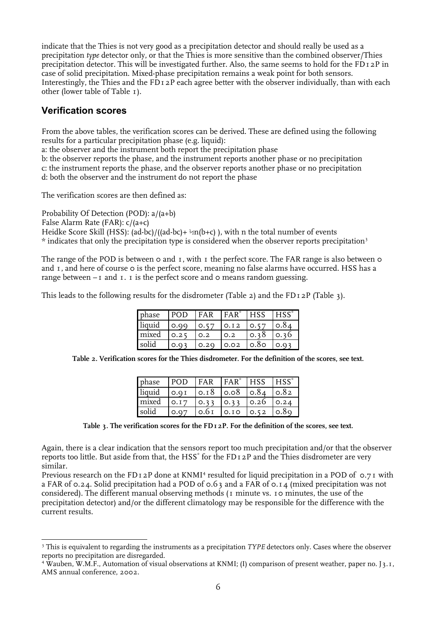indicate that the Thies is not very good as a precipitation detector and should really be used as a precipitation *type* detector only, or that the Thies is more sensitive than the combined observer/Thies precipitation detector. This will be investigated further. Also, the same seems to hold for the FD12P in case of solid precipitation. Mixed-phase precipitation remains a weak point for both sensors. Interestingly, the Thies and the FD12P each agree better with the observer individually, than with each other (lower table of Table 1).

## **Verification scores**

From the above tables, the verification scores can be derived. These are defined using the following results for a particular precipitation phase (e.g. liquid):

a: the observer and the instrument both report the precipitation phase

b: the observer reports the phase, and the instrument reports another phase or no precipitation c: the instrument reports the phase, and the observer reports another phase or no precipitation

d: both the observer and the instrument do not report the phase

The verification scores are then defined as:

Probability Of Detection (POD): a/(a+b) False Alarm Rate (FAR): c/(a+c) Heidke Score Skill (HSS): (ad-bc)/((ad-bc)+ $\frac{1}{2}$ n(b+c)), with n the total number of events \* indicates that only the precipitation type is considered when the observer reports precipitation<sup>3</sup>

The range of the POD is between  $\circ$  and  $\bar{I}$ , with  $\bar{I}$  the perfect score. The FAR range is also between  $\circ$ and 1, and here of course 0 is the perfect score, meaning no false alarms have occurred. HSS has a range between  $-1$  and  $1$ . I is the perfect score and 0 means random guessing.

This leads to the following results for the disdrometer (Table 2) and the FD12P (Table 3).

| phase  | POD  | <b>FAR</b> | $HAR^*$        | $HSS$ $HSS^*$ |      |
|--------|------|------------|----------------|---------------|------|
| liquid | 0.99 | 0.57       | $\bigcup$ 0.12 | 0.57 0.84     |      |
| mixed  | 0.25 | O.2        | O.2            | 0.38          | 0.36 |
| solid  | 0.03 | 0.20       | 0.02           | $\circ$ .80   |      |
|        |      |            |                |               |      |

**Table 2. Verification scores for the Thies disdrometer. For the definition of the scores, see text.** 

| phase  | POD  | FAR              | $FAR^*$                                | <b>HSS</b> | $HSS^*$       |
|--------|------|------------------|----------------------------------------|------------|---------------|
| liquid | 0.9I |                  | $\vert$ 0.18 $\vert$ 0.08 $\vert$ 0.84 |            | $\sqrt{0.82}$ |
| mixed  | 0.17 | $0.33 \mid 0.33$ |                                        | $\log 26$  | 0.24          |
| solid  | 0.07 | 0.6 <sub>I</sub> | 0.10                                   | 0.52       |               |

**Table 3. The verification scores for the FD12P. For the definition of the scores, see text.** 

Again, there is a clear indication that the sensors report too much precipitation and/or that the observer reports too little. But aside from that, the HSS $^{\ast}$  for the FD12P and the Thies disdrometer are very similar.

Previous research on the FD12P done at KNMI<sup>4</sup> resulted for liquid precipitation in a POD of 0.71 with a FAR of 0.24. Solid precipitation had a POD of 0.63 and a FAR of 0.14 (mixed precipitation was not considered). The different manual observing methods (1 minute vs. 10 minutes, the use of the precipitation detector) and/or the different climatology may be responsible for the difference with the current results.

 $\overline{a}$ <sup>3</sup> This is equivalent to regarding the instruments as a precipitation *TYPE* detectors only. Cases where the observer reports no precipitation are disregarded.

<sup>4</sup> Wauben, W.M.F., Automation of visual observations at KNMI; (I) comparison of present weather, paper no. J3.1, AMS annual conference, 2002.